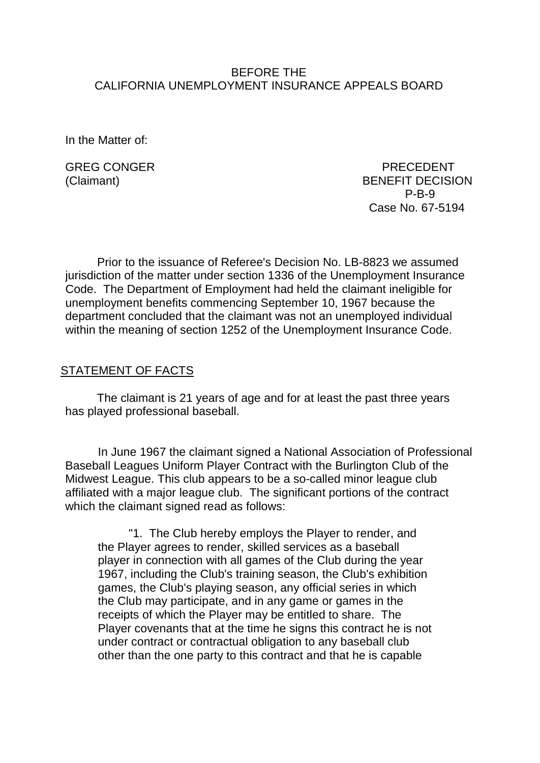#### BEFORE THE CALIFORNIA UNEMPLOYMENT INSURANCE APPEALS BOARD

In the Matter of:

GREG CONGER PRECEDENT (Claimant) BENEFIT DECISION P-B-9 Case No. 67-5194

Prior to the issuance of Referee's Decision No. LB-8823 we assumed jurisdiction of the matter under section 1336 of the Unemployment Insurance Code. The Department of Employment had held the claimant ineligible for unemployment benefits commencing September 10, 1967 because the department concluded that the claimant was not an unemployed individual within the meaning of section 1252 of the Unemployment Insurance Code.

#### STATEMENT OF FACTS

The claimant is 21 years of age and for at least the past three years has played professional baseball.

In June 1967 the claimant signed a National Association of Professional Baseball Leagues Uniform Player Contract with the Burlington Club of the Midwest League. This club appears to be a so-called minor league club affiliated with a major league club. The significant portions of the contract which the claimant signed read as follows:

"1. The Club hereby employs the Player to render, and the Player agrees to render, skilled services as a baseball player in connection with all games of the Club during the year 1967, including the Club's training season, the Club's exhibition games, the Club's playing season, any official series in which the Club may participate, and in any game or games in the receipts of which the Player may be entitled to share. The Player covenants that at the time he signs this contract he is not under contract or contractual obligation to any baseball club other than the one party to this contract and that he is capable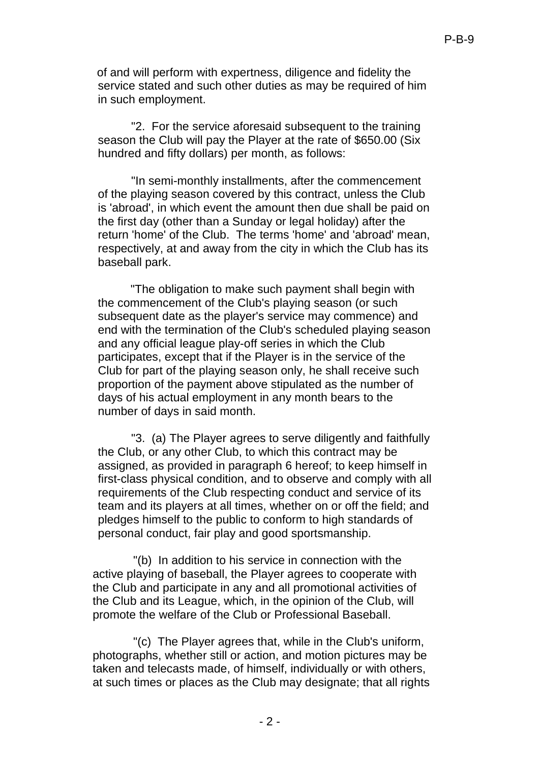of and will perform with expertness, diligence and fidelity the service stated and such other duties as may be required of him in such employment.

"2. For the service aforesaid subsequent to the training season the Club will pay the Player at the rate of \$650.00 (Six hundred and fifty dollars) per month, as follows:

"In semi-monthly installments, after the commencement of the playing season covered by this contract, unless the Club is 'abroad', in which event the amount then due shall be paid on the first day (other than a Sunday or legal holiday) after the return 'home' of the Club. The terms 'home' and 'abroad' mean, respectively, at and away from the city in which the Club has its baseball park.

"The obligation to make such payment shall begin with the commencement of the Club's playing season (or such subsequent date as the player's service may commence) and end with the termination of the Club's scheduled playing season and any official league play-off series in which the Club participates, except that if the Player is in the service of the Club for part of the playing season only, he shall receive such proportion of the payment above stipulated as the number of days of his actual employment in any month bears to the number of days in said month.

"3. (a) The Player agrees to serve diligently and faithfully the Club, or any other Club, to which this contract may be assigned, as provided in paragraph 6 hereof; to keep himself in first-class physical condition, and to observe and comply with all requirements of the Club respecting conduct and service of its team and its players at all times, whether on or off the field; and pledges himself to the public to conform to high standards of personal conduct, fair play and good sportsmanship.

"(b) In addition to his service in connection with the active playing of baseball, the Player agrees to cooperate with the Club and participate in any and all promotional activities of the Club and its League, which, in the opinion of the Club, will promote the welfare of the Club or Professional Baseball.

"(c) The Player agrees that, while in the Club's uniform, photographs, whether still or action, and motion pictures may be taken and telecasts made, of himself, individually or with others, at such times or places as the Club may designate; that all rights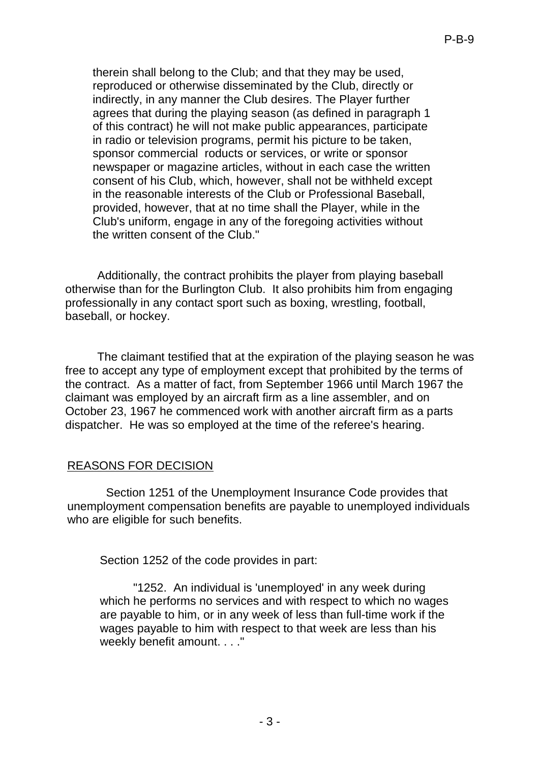therein shall belong to the Club; and that they may be used, reproduced or otherwise disseminated by the Club, directly or indirectly, in any manner the Club desires. The Player further agrees that during the playing season (as defined in paragraph 1 of this contract) he will not make public appearances, participate in radio or television programs, permit his picture to be taken, sponsor commercial roducts or services, or write or sponsor newspaper or magazine articles, without in each case the written consent of his Club, which, however, shall not be withheld except in the reasonable interests of the Club or Professional Baseball, provided, however, that at no time shall the Player, while in the Club's uniform, engage in any of the foregoing activities without the written consent of the Club."

Additionally, the contract prohibits the player from playing baseball otherwise than for the Burlington Club. It also prohibits him from engaging professionally in any contact sport such as boxing, wrestling, football, baseball, or hockey.

The claimant testified that at the expiration of the playing season he was free to accept any type of employment except that prohibited by the terms of the contract. As a matter of fact, from September 1966 until March 1967 the claimant was employed by an aircraft firm as a line assembler, and on October 23, 1967 he commenced work with another aircraft firm as a parts dispatcher. He was so employed at the time of the referee's hearing.

### REASONS FOR DECISION

Section 1251 of the Unemployment Insurance Code provides that unemployment compensation benefits are payable to unemployed individuals who are eligible for such benefits.

Section 1252 of the code provides in part:

"1252. An individual is 'unemployed' in any week during which he performs no services and with respect to which no wages are payable to him, or in any week of less than full-time work if the wages payable to him with respect to that week are less than his weekly benefit amount. . . ."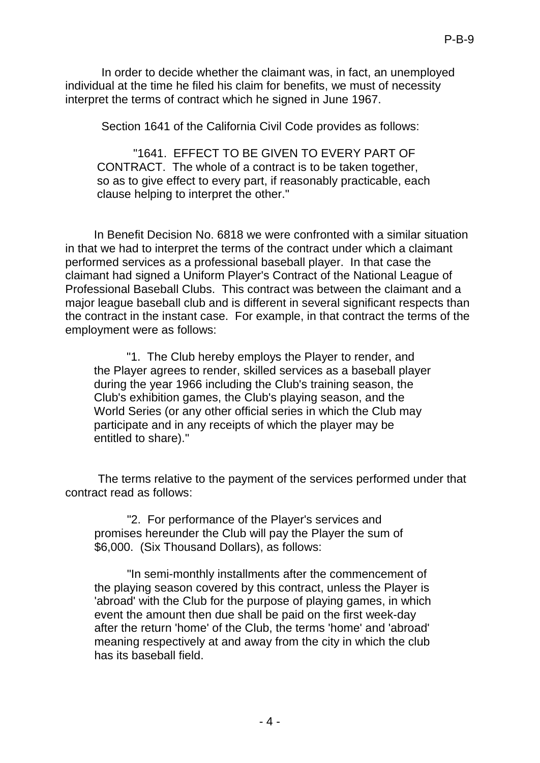In order to decide whether the claimant was, in fact, an unemployed individual at the time he filed his claim for benefits, we must of necessity interpret the terms of contract which he signed in June 1967.

Section 1641 of the California Civil Code provides as follows:

"1641. EFFECT TO BE GIVEN TO EVERY PART OF CONTRACT. The whole of a contract is to be taken together, so as to give effect to every part, if reasonably practicable, each clause helping to interpret the other."

In Benefit Decision No. 6818 we were confronted with a similar situation in that we had to interpret the terms of the contract under which a claimant performed services as a professional baseball player. In that case the claimant had signed a Uniform Player's Contract of the National League of Professional Baseball Clubs. This contract was between the claimant and a major league baseball club and is different in several significant respects than the contract in the instant case. For example, in that contract the terms of the employment were as follows:

"1. The Club hereby employs the Player to render, and the Player agrees to render, skilled services as a baseball player during the year 1966 including the Club's training season, the Club's exhibition games, the Club's playing season, and the World Series (or any other official series in which the Club may participate and in any receipts of which the player may be entitled to share)."

The terms relative to the payment of the services performed under that contract read as follows:

"2. For performance of the Player's services and promises hereunder the Club will pay the Player the sum of \$6,000. (Six Thousand Dollars), as follows:

"In semi-monthly installments after the commencement of the playing season covered by this contract, unless the Player is 'abroad' with the Club for the purpose of playing games, in which event the amount then due shall be paid on the first week-day after the return 'home' of the Club, the terms 'home' and 'abroad' meaning respectively at and away from the city in which the club has its baseball field.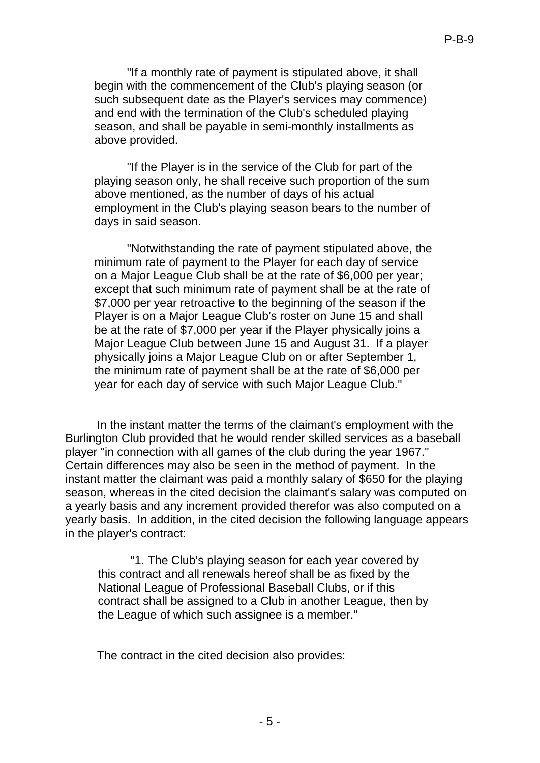"If a monthly rate of payment is stipulated above, it shall begin with the commencement of the Club's playing season (or such subsequent date as the Player's services may commence) and end with the termination of the Club's scheduled playing season, and shall be payable in semi-monthly installments as above provided.

"If the Player is in the service of the Club for part of the playing season only, he shall receive such proportion of the sum above mentioned, as the number of days of his actual employment in the Club's playing season bears to the number of days in said season.

"Notwithstanding the rate of payment stipulated above, the minimum rate of payment to the Player for each day of service on a Major League Club shall be at the rate of \$6,000 per year; except that such minimum rate of payment shall be at the rate of \$7,000 per year retroactive to the beginning of the season if the Player is on a Major League Club's roster on June 15 and shall be at the rate of \$7,000 per year if the Player physically joins a Major League Club between June 15 and August 31. If a player physically joins a Major League Club on or after September 1, the minimum rate of payment shall be at the rate of \$6,000 per year for each day of service with such Major League Club."

In the instant matter the terms of the claimant's employment with the Burlington Club provided that he would render skilled services as a baseball player "in connection with all games of the club during the year 1967." Certain differences may also be seen in the method of payment. In the instant matter the claimant was paid a monthly salary of \$650 for the playing season, whereas in the cited decision the claimant's salary was computed on a yearly basis and any increment provided therefor was also computed on a yearly basis. In addition, in the cited decision the following language appears in the player's contract:

"1. The Club's playing season for each year covered by this contract and all renewals hereof shall be as fixed by the National League of Professional Baseball Clubs, or if this contract shall be assigned to a Club in another League, then by the League of which such assignee is a member."

The contract in the cited decision also provides: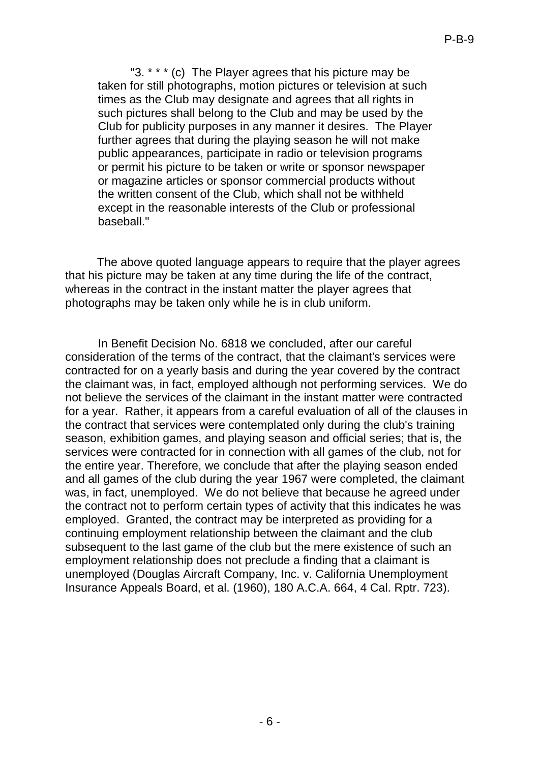"3. \* \* \* (c) The Player agrees that his picture may be taken for still photographs, motion pictures or television at such times as the Club may designate and agrees that all rights in such pictures shall belong to the Club and may be used by the Club for publicity purposes in any manner it desires. The Player further agrees that during the playing season he will not make public appearances, participate in radio or television programs or permit his picture to be taken or write or sponsor newspaper or magazine articles or sponsor commercial products without the written consent of the Club, which shall not be withheld except in the reasonable interests of the Club or professional baseball."

The above quoted language appears to require that the player agrees that his picture may be taken at any time during the life of the contract, whereas in the contract in the instant matter the player agrees that photographs may be taken only while he is in club uniform.

In Benefit Decision No. 6818 we concluded, after our careful consideration of the terms of the contract, that the claimant's services were contracted for on a yearly basis and during the year covered by the contract the claimant was, in fact, employed although not performing services. We do not believe the services of the claimant in the instant matter were contracted for a year. Rather, it appears from a careful evaluation of all of the clauses in the contract that services were contemplated only during the club's training season, exhibition games, and playing season and official series; that is, the services were contracted for in connection with all games of the club, not for the entire year. Therefore, we conclude that after the playing season ended and all games of the club during the year 1967 were completed, the claimant was, in fact, unemployed. We do not believe that because he agreed under the contract not to perform certain types of activity that this indicates he was employed. Granted, the contract may be interpreted as providing for a continuing employment relationship between the claimant and the club subsequent to the last game of the club but the mere existence of such an employment relationship does not preclude a finding that a claimant is unemployed (Douglas Aircraft Company, Inc. v. California Unemployment Insurance Appeals Board, et al. (1960), 180 A.C.A. 664, 4 Cal. Rptr. 723).